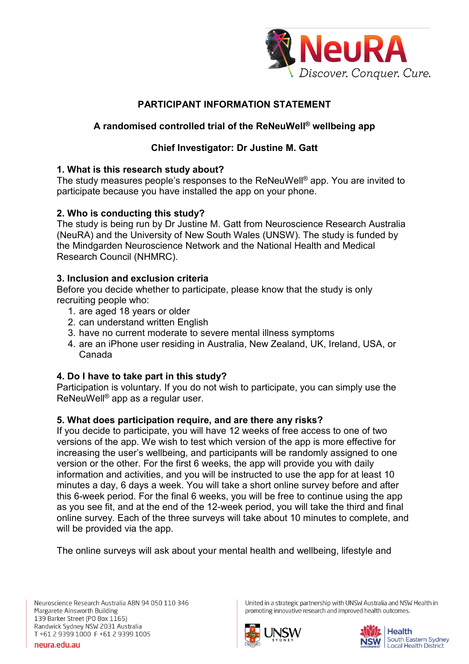

# **PARTICIPANT INFORMATION STATEMENT**

# **A randomised controlled trial of the ReNeuWell® wellbeing app**

# **Chief Investigator: Dr Justine M. Gatt**

## **1. What is this research study about?**

The study measures people's responses to the ReNeuWell® app. You are invited to participate because you have installed the app on your phone.

# **2. Who is conducting this study?**

The study is being run by Dr Justine M. Gatt from Neuroscience Research Australia (NeuRA) and the University of New South Wales (UNSW). The study is funded by the Mindgarden Neuroscience Network and the National Health and Medical Research Council (NHMRC).

# **3. Inclusion and exclusion criteria**

Before you decide whether to participate, please know that the study is only recruiting people who:

- 1. are aged 18 years or older
- 2. can understand written English
- 3. have no current moderate to severe mental illness symptoms
- 4. are an iPhone user residing in Australia, New Zealand, UK, Ireland, USA, or Canada

## **4. Do I have to take part in this study?**

Participation is voluntary. If you do not wish to participate, you can simply use the ReNeuWell® app as a regular user.

## **5. What does participation require, and are there any risks?**

If you decide to participate, you will have 12 weeks of free access to one of two versions of the app. We wish to test which version of the app is more effective for increasing the user's wellbeing, and participants will be randomly assigned to one version or the other. For the first 6 weeks, the app will provide you with daily information and activities, and you will be instructed to use the app for at least 10 minutes a day, 6 days a week. You will take a short online survey before and after this 6-week period. For the final 6 weeks, you will be free to continue using the app as you see fit, and at the end of the 12-week period, you will take the third and final online survey. Each of the three surveys will take about 10 minutes to complete, and will be provided via the app.

The online surveys will ask about your mental health and wellbeing, lifestyle and

United in a strategic partnership with UNSW Australia and NSW Health in promoting innovative research and improved health outcomes.



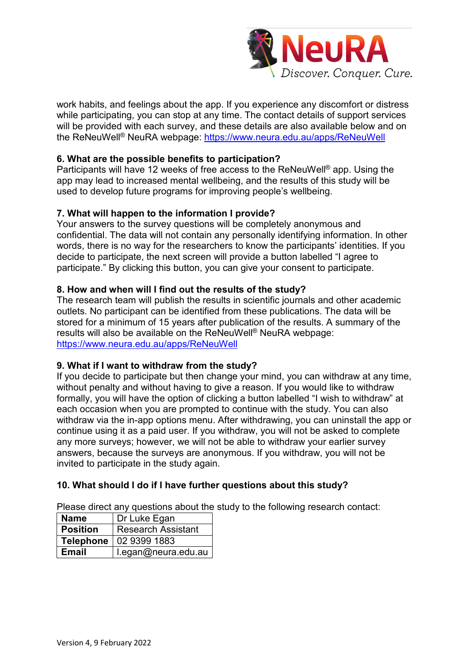

work habits, and feelings about the app. If you experience any discomfort or distress while participating, you can stop at any time. The contact details of support services will be provided with each survey, and these details are also available below and on the ReNeuWell® NeuRA webpage:<https://www.neura.edu.au/apps/ReNeuWell>

### **6. What are the possible benefits to participation?**

Participants will have 12 weeks of free access to the ReNeuWell® app. Using the app may lead to increased mental wellbeing, and the results of this study will be used to develop future programs for improving people's wellbeing.

#### **7. What will happen to the information I provide?**

Your answers to the survey questions will be completely anonymous and confidential. The data will not contain any personally identifying information. In other words, there is no way for the researchers to know the participants' identities. If you decide to participate, the next screen will provide a button labelled "I agree to participate." By clicking this button, you can give your consent to participate.

#### **8. How and when will I find out the results of the study?**

The research team will publish the results in scientific journals and other academic outlets. No participant can be identified from these publications. The data will be stored for a minimum of 15 years after publication of the results. A summary of the results will also be available on the ReNeuWell® NeuRA webpage: <https://www.neura.edu.au/apps/ReNeuWell>

#### **9. What if I want to withdraw from the study?**

If you decide to participate but then change your mind, you can withdraw at any time, without penalty and without having to give a reason. If you would like to withdraw formally, you will have the option of clicking a button labelled "I wish to withdraw" at each occasion when you are prompted to continue with the study. You can also withdraw via the in-app options menu. After withdrawing, you can uninstall the app or continue using it as a paid user. If you withdraw, you will not be asked to complete any more surveys; however, we will not be able to withdraw your earlier survey answers, because the surveys are anonymous. If you withdraw, you will not be invited to participate in the study again.

## **10. What should I do if I have further questions about this study?**

Please direct any questions about the study to the following research contact:

| <b>Name</b>     | Dr Luke Egan              |
|-----------------|---------------------------|
| <b>Position</b> | <b>Research Assistant</b> |
|                 | Telephone   02 9399 1883  |
| <b>Email</b>    | I.egan@neura.edu.au       |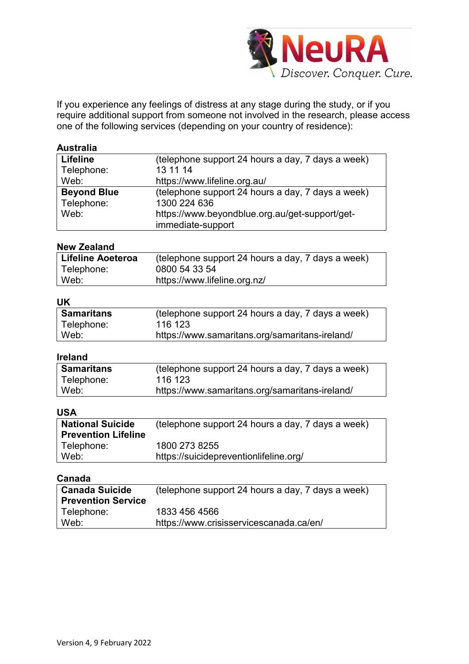

If you experience any feelings of distress at any stage during the study, or if you require additional support from someone not involved in the research, please access one of the following services (depending on your country of residence):

#### **Australia**

| <b>Lifeline</b>    | (telephone support 24 hours a day, 7 days a week) |
|--------------------|---------------------------------------------------|
| Telephone:         | 13 11 14                                          |
| Web:               | https://www.lifeline.org.au/                      |
| <b>Beyond Blue</b> | (telephone support 24 hours a day, 7 days a week) |
| Telephone:         | 1300 224 636                                      |
| Web:               | https://www.beyondblue.org.au/get-support/get-    |
|                    | immediate-support                                 |

#### **New Zealand**

| Lifeline Aoeteroa | (telephone support 24 hours a day, 7 days a week) |
|-------------------|---------------------------------------------------|
| Telephone:        | 0800 54 33 54                                     |
| Web:              | https://www.lifeline.org.nz/                      |

#### **UK**

| <b>Samaritans</b> | (telephone support 24 hours a day, 7 days a week) |
|-------------------|---------------------------------------------------|
| Telephone:        | 116 123                                           |
| Web:              | https://www.samaritans.org/samaritans-ireland/    |

#### **Ireland**

| ∣ Samaritans | (telephone support 24 hours a day, 7 days a week) |
|--------------|---------------------------------------------------|
| Telephone:   | 116 123                                           |
| Web:         | https://www.samaritans.org/samaritans-ireland/    |

### **USA**

| <b>National Suicide</b><br><b>Prevention Lifeline</b> | (telephone support 24 hours a day, 7 days a week)       |
|-------------------------------------------------------|---------------------------------------------------------|
| Telephone:<br>Web:                                    | 1800 273 8255<br>https://suicidepreventionlifeline.org/ |
|                                                       |                                                         |

#### **Canada**

| <b>Canada Suicide</b>     | (telephone support 24 hours a day, 7 days a week) |
|---------------------------|---------------------------------------------------|
| <b>Prevention Service</b> |                                                   |
| Telephone:                | 1833 456 4566                                     |
| Web:                      | https://www.crisisservicescanada.ca/en/           |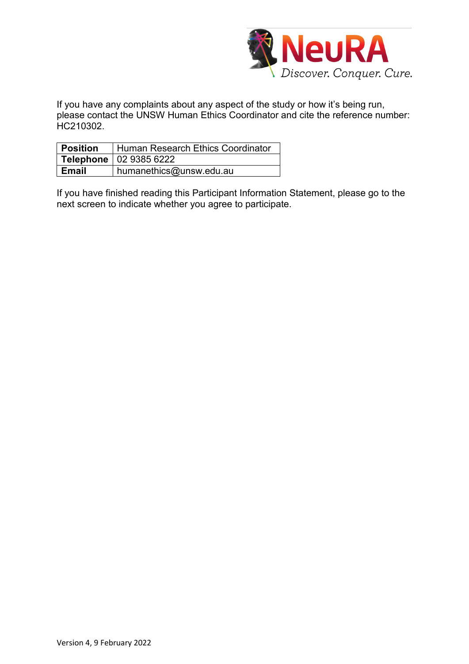

If you have any complaints about any aspect of the study or how it's being run, please contact the UNSW Human Ethics Coordinator and cite the reference number: HC210302.

| <b>Position</b> | Human Research Ethics Coordinator |
|-----------------|-----------------------------------|
|                 | Telephone   02 9385 6222          |
| <b>Email</b>    | humanethics@unsw.edu.au           |

If you have finished reading this Participant Information Statement, please go to the next screen to indicate whether you agree to participate.